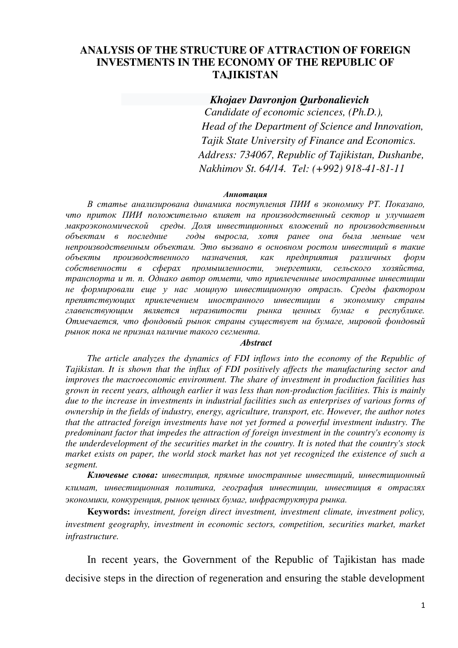### **ANALYSIS OF THE STRUCTURE OF ATTRACTION OF FOREIGN INVESTMENTS IN THE ECONOMY OF THE REPUBLIC OF TAJIKISTAN**

 *Khojaev Davronjon Qurbonalievich Candidate of economic sciences, (Ph.D.), Head of the Department of Science and Innovation, Tajik State University of Finance and Economics. Address: 734067, Republic of Tajikistan, Dushanbe, Nakhimov St. 64/14. Tel: (+992) 918-41-81-11*

#### *Аннотация*

*В статье анализирована динамика поступления ПИИ в экономику РТ. Показано, что приток ПИИ положительно влияет на производственный сектор и улучшает макроэкономической среды. Доля инвестиционных вложений по производственным объектам в последние годы выросла, хотя ранее она была меньше чем непроизводственным объектам. Это вызвано в основном ростом инвестиций в такие объекты производственного назначения, как предприятия различных форм собственности в сферах промышленности, энергетики, сельского хозяйства, транспорта и т. п. Однако автор отмети, что привлеченные иностранные инвестиции не формировали еще у нас мощную инвестиционную отрасль. Среды фактором препятствующих привлечением иностранного инвестиции в экономику страны главенствующим является неразвитости рынка ценных бумаг в республике. Отмечается, что фондовый рынок страны существует на бумаге, мировой фондовый рынок пока не признал наличие такого сегмента.* 

### *Аbstract*

*The article analyzes the dynamics of FDI inflows into the economy of the Republic of Tajikistan. It is shown that the influx of FDI positively affects the manufacturing sector and improves the macroeconomic environment. The share of investment in production facilities has grown in recent years, although earlier it was less than non-production facilities. This is mainly due to the increase in investments in industrial facilities such as enterprises of various forms of ownership in the fields of industry, energy, agriculture, transport, etc. However, the author notes that the attracted foreign investments have not yet formed a powerful investment industry. The predominant factor that impedes the attraction of foreign investment in the country's economy is the underdevelopment of the securities market in the country. It is noted that the country's stock market exists on paper, the world stock market has not yet recognized the existence of such a segment.* 

*Ключевые слова: инвестиция, прямые иностранные инвестиций, инвестиционный климат, инвестиционная политика, география инвестиции, инвестиция в отраслях экономики, конкуренция, рынок ценных бумаг, инфраструктура рынка.* 

**Keywords:** *investment, foreign direct investment, investment climate, investment policy, investment geography, investment in economic sectors, competition, securities market, market infrastructure.* 

In recent years, the Government of the Republic of Tajikistan has made decisive steps in the direction of regeneration and ensuring the stable development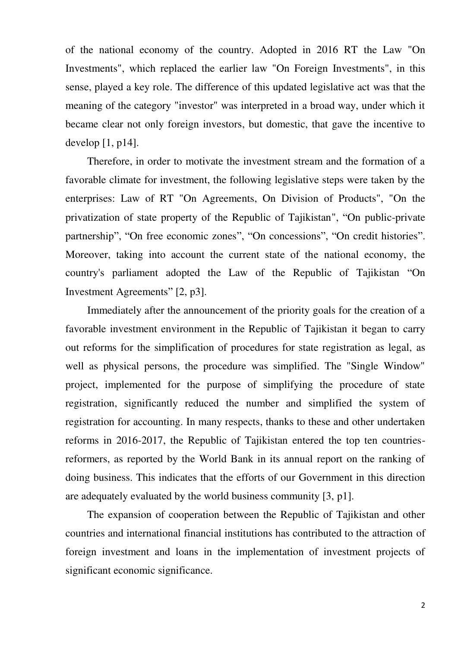of the national economy of the country. Adopted in 2016 RT the Law "On Investments", which replaced the earlier law "On Foreign Investments", in this sense, played a key role. The difference of this updated legislative act was that the meaning of the category "investor" was interpreted in a broad way, under which it became clear not only foreign investors, but domestic, that gave the incentive to develop  $[1, p14]$ .

Therefore, in order to motivate the investment stream and the formation of a favorable climate for investment, the following legislative steps were taken by the enterprises: Law of RT "On Agreements, On Division of Products", "On the privatization of state property of the Republic of Tajikistan", "On public-private partnership", "On free economic zones", "On concessions", "On credit histories". Moreover, taking into account the current state of the national economy, the country's parliament adopted the Law of the Republic of Tajikistan "On Investment Agreements" [2, p3].

Immediately after the announcement of the priority goals for the creation of a favorable investment environment in the Republic of Tajikistan it began to carry out reforms for the simplification of procedures for state registration as legal, as well as physical persons, the procedure was simplified. The "Single Window" project, implemented for the purpose of simplifying the procedure of state registration, significantly reduced the number and simplified the system of registration for accounting. In many respects, thanks to these and other undertaken reforms in 2016-2017, the Republic of Tajikistan entered the top ten countriesreformers, as reported by the World Bank in its annual report on the ranking of doing business. This indicates that the efforts of our Government in this direction are adequately evaluated by the world business community [3, p1].

The expansion of cooperation between the Republic of Tajikistan and other countries and international financial institutions has contributed to the attraction of foreign investment and loans in the implementation of investment projects of significant economic significance.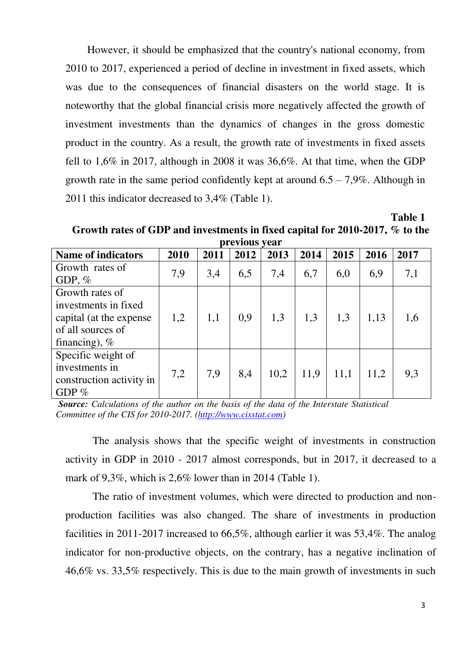However, it should be emphasized that the country's national economy, from 2010 to 2017, experienced a period of decline in investment in fixed assets, which was due to the consequences of financial disasters on the world stage. It is noteworthy that the global financial crisis more negatively affected the growth of investment investments than the dynamics of changes in the gross domestic product in the country. As a result, the growth rate of investments in fixed assets fell to 1,6% in 2017, although in 2008 it was 36,6%. At that time, when the GDP growth rate in the same period confidently kept at around  $6.5 - 7.9\%$ . Although in 2011 this indicator decreased to 3,4% (Table 1).

 **Table 1 Growth rates of GDP and investments in fixed capital for 2010-2017, % to the previous year** 

|                           |      |      | PLVIJVAD I VAL |      |      |      |      |      |
|---------------------------|------|------|----------------|------|------|------|------|------|
| <b>Name of indicators</b> | 2010 | 2011 | 2012           | 2013 | 2014 | 2015 | 2016 | 2017 |
| Growth rates of           | 7,9  |      |                |      |      |      |      |      |
| GDP, $%$                  |      | 3,4  | 6,5            | 7,4  | 6,7  | 6,0  | 6,9  | 7,1  |
| Growth rates of           |      |      |                |      |      |      |      |      |
| investments in fixed      |      |      |                |      |      |      |      |      |
| capital (at the expense   | 1,2  | 1,1  | 0,9            | 1,3  | 1,3  | 1,3  | 1,13 | 1,6  |
| of all sources of         |      |      |                |      |      |      |      |      |
| financing), $%$           |      |      |                |      |      |      |      |      |
| Specific weight of        |      |      |                |      |      |      |      |      |
| investments in            | 7,2  |      | 8,4            |      |      |      |      | 9,3  |
| construction activity in  |      | 7,9  |                | 10,2 | 11,9 | 11,1 | 11,2 |      |
| GDP $%$                   |      |      |                |      |      |      |      |      |

*Source: Calculations of the author on the basis of the data of the Interstate Statistical Committee of the CIS for 2010-2017. [\(http://www.cisstat.com\)](http://www.cisstat.com/)*

The analysis shows that the specific weight of investments in construction activity in GDP in 2010 - 2017 almost corresponds, but in 2017, it decreased to a mark of 9,3%, which is 2,6% lower than in 2014 (Table 1).

The ratio of investment volumes, which were directed to production and nonproduction facilities was also changed. The share of investments in production facilities in 2011-2017 increased to 66,5%, although earlier it was 53,4%. The analog indicator for non-productive objects, on the contrary, has a negative inclination of 46,6% vs. 33,5% respectively. This is due to the main growth of investments in such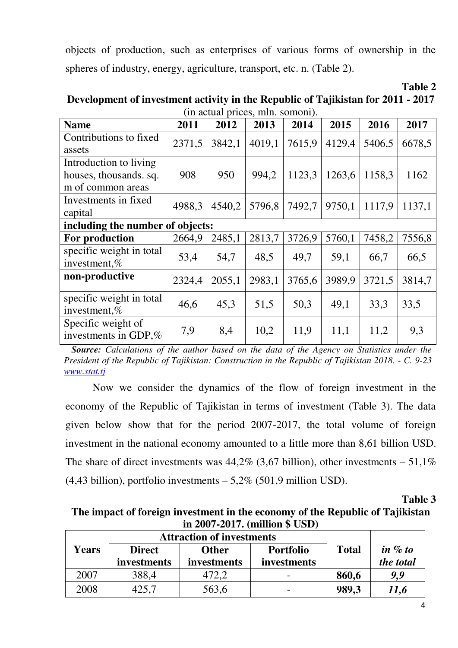objects of production, such as enterprises of various forms of ownership in the spheres of industry, energy, agriculture, transport, etc. n. (Table 2).

| Table 2                                                                          |
|----------------------------------------------------------------------------------|
| Development of investment activity in the Republic of Tajikistan for 2011 - 2017 |
| (in actual prices, mln. somoni).                                                 |

| <b>Name</b>                                                           | 2011   | 2012   | 2013   | 2014   | 2015   | 2016   | 2017   |
|-----------------------------------------------------------------------|--------|--------|--------|--------|--------|--------|--------|
| Contributions to fixed<br>assets                                      | 2371,5 | 3842,1 | 4019,1 | 7615,9 | 4129,4 | 5406,5 | 6678,5 |
| Introduction to living<br>houses, thousands. sq.<br>m of common areas | 908    | 950    | 994,2  | 1123,3 | 1263,6 | 1158,3 | 1162   |
| Investments in fixed<br>capital                                       | 4988,3 | 4540,2 | 5796,8 | 7492,7 | 9750,1 | 1117,9 | 1137,1 |
| including the number of objects:                                      |        |        |        |        |        |        |        |
| For production                                                        | 2664,9 | 2485,1 | 2813,7 | 3726,9 | 5760,1 | 7458,2 | 7556,8 |
| specific weight in total<br>investment,%                              | 53,4   | 54,7   | 48,5   | 49,7   | 59,1   | 66,7   | 66,5   |
| non-productive                                                        | 2324,4 | 2055,1 | 2983,1 | 3765,6 | 3989,9 | 3721,5 | 3814,7 |
| specific weight in total<br>investment,%                              | 46,6   | 45,3   | 51,5   | 50,3   | 49,1   | 33,3   | 33,5   |
| Specific weight of<br>investments in GDP,%                            | 7,9    | 8,4    | 10,2   | 11,9   | 11,1   | 11,2   | 9,3    |

 *Source: Calculations of the author based on the data of the Agency on Statistics under the President of the Republic of Tajikistan: Construction in the Republic of Tajikistan 2018. - C. 9-23 [www.stat.tj](http://www.stat.tj/)*

Now we consider the dynamics of the flow of foreign investment in the economy of the Republic of Tajikistan in terms of investment (Table 3). The data given below show that for the period 2007-2017, the total volume of foreign investment in the national economy amounted to a little more than 8,61 billion USD. The share of direct investments was  $44,2\%$  (3,67 billion), other investments  $-51,1\%$  $(4,43 \text{ billion})$ , portfolio investments  $-5,2\%$  (501,9 million USD).

**Table 3** 

# **The impact of foreign investment in the economy of the Republic of Tajikistan in 2007-2017. (million \$ USD)**

|              | <b>Attraction of investments</b> |              |                  |              |            |  |
|--------------|----------------------------------|--------------|------------------|--------------|------------|--|
| <b>Years</b> | <b>Direct</b>                    | <b>Other</b> | <b>Portfolio</b> | <b>Total</b> | in $\%$ to |  |
|              | investments                      | investments  | investments      |              | the total  |  |
| 2007         | 388,4                            | 472,2        |                  | 860,6        | 9.9        |  |
| 2008         | 425.7                            | 563,6        |                  | 989,3        | 11,6       |  |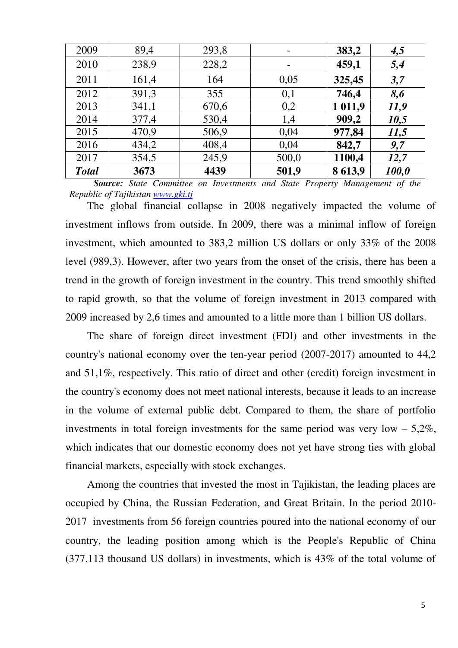| 2009         | 89,4  | 293,8 |       | 383,2   | 4,5   |
|--------------|-------|-------|-------|---------|-------|
| 2010         | 238,9 | 228,2 | -     | 459,1   | 5,4   |
| 2011         | 161,4 | 164   | 0,05  | 325,45  | 3,7   |
| 2012         | 391,3 | 355   | 0,1   | 746,4   | 8,6   |
| 2013         | 341,1 | 670,6 | 0,2   | 1 011,9 | 11,9  |
| 2014         | 377,4 | 530,4 | 1,4   | 909,2   | 10,5  |
| 2015         | 470,9 | 506,9 | 0,04  | 977,84  | 11,5  |
| 2016         | 434,2 | 408,4 | 0,04  | 842,7   | 9,7   |
| 2017         | 354,5 | 245,9 | 500,0 | 1100,4  | 12,7  |
| <b>Total</b> | 3673  | 4439  | 501,9 | 8 613,9 | 100,0 |

 *Source: State Committee on Investments and State Property Management of the Republic of Tajikistan [www.gki.tj](http://www.gki.tj/)* 

The global financial collapse in 2008 negatively impacted the volume of investment inflows from outside. In 2009, there was a minimal inflow of foreign investment, which amounted to 383,2 million US dollars or only 33% of the 2008 level (989,3). However, after two years from the onset of the crisis, there has been a trend in the growth of foreign investment in the country. This trend smoothly shifted to rapid growth, so that the volume of foreign investment in 2013 compared with 2009 increased by 2,6 times and amounted to a little more than 1 billion US dollars.

The share of foreign direct investment (FDI) and other investments in the country's national economy over the ten-year period (2007-2017) amounted to 44,2 and 51,1%, respectively. This ratio of direct and other (credit) foreign investment in the country's economy does not meet national interests, because it leads to an increase in the volume of external public debt. Compared to them, the share of portfolio investments in total foreign investments for the same period was very low  $-5,2\%$ , which indicates that our domestic economy does not yet have strong ties with global financial markets, especially with stock exchanges.

Among the countries that invested the most in Tajikistan, the leading places are occupied by China, the Russian Federation, and Great Britain. In the period 2010- 2017 investments from 56 foreign countries poured into the national economy of our country, the leading position among which is the People's Republic of China (377,113 thousand US dollars) in investments, which is 43% of the total volume of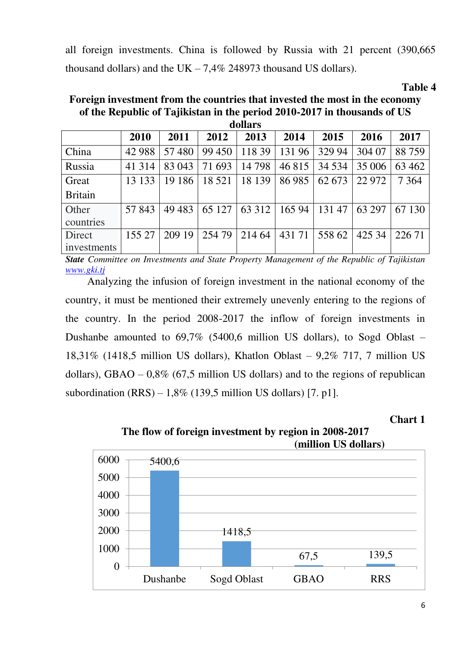all foreign investments. China is followed by Russia with 21 percent (390,665 thousand dollars) and the UK  $-7.4\%$  248973 thousand US dollars).

*Table 4* **Table 4** 

| dollars        |         |         |         |         |        |         |        |         |  |
|----------------|---------|---------|---------|---------|--------|---------|--------|---------|--|
|                | 2010    | 2011    | 2012    | 2013    | 2014   | 2015    | 2016   | 2017    |  |
| China          | 42 988  | 57480   | 99 450  | 118 39  | 131 96 | 329 94  | 304 07 | 88759   |  |
| Russia         | 41 3 14 | 83 043  | 71 693  | 14798   | 46 815 | 34 5 34 | 35 006 | 63 4 62 |  |
| Great          | 13 133  | 19 18 6 | 18 5 21 | 18 139  | 86 985 | 62 673  | 22 972 | 7 3 6 4 |  |
| <b>Britain</b> |         |         |         |         |        |         |        |         |  |
| Other          | 57 843  | 49 4 83 | 65 127  | 63 3 12 | 165 94 | 131 47  | 63 297 | 67 130  |  |
| countries      |         |         |         |         |        |         |        |         |  |
| Direct         | 155 27  | 209 19  | 254 79  | 214 64  | 431 71 | 558 62  | 425 34 | 226 71  |  |
| investments    |         |         |         |         |        |         |        |         |  |

**Foreign investment from the countries that invested the most in the economy of the Republic of Tajikistan in the period 2010-2017 in thousands of US** 

*State Committee on Investments and State Property Management of the Republic of Tajikistan [www.gki.tj](http://www.gki.tj/)*

 Analyzing the infusion of foreign investment in the national economy of the country, it must be mentioned their extremely unevenly entering to the regions of the country. In the period 2008-2017 the inflow of foreign investments in Dushanbe amounted to 69,7% (5400,6 million US dollars), to Sogd Oblast – 18,31% (1418,5 million US dollars), Khatlon Oblast – 9,2% 717, 7 million US dollars), GBAO –  $0.8\%$  (67.5 million US dollars) and to the regions of republican subordination  $(RRS) - 1,8\%$  (139,5 million US dollars) [7. p1].

**Chart 1** 



**The flow of foreign investment by region in 2008-2017 (million US dollars)**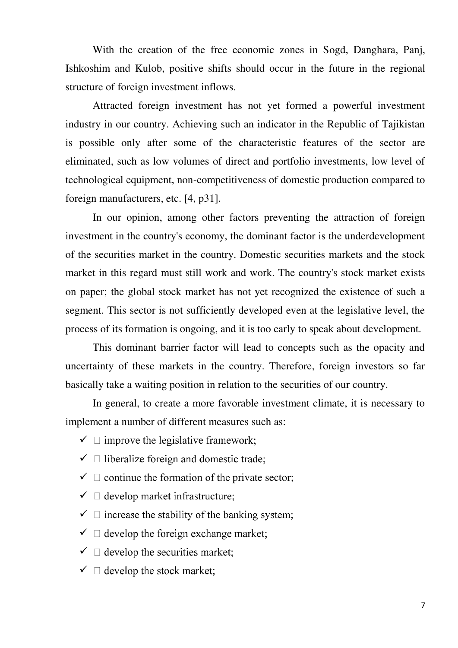With the creation of the free economic zones in Sogd, Danghara, Panj, Ishkoshim and Kulob, positive shifts should occur in the future in the regional structure of foreign investment inflows.

 Attracted foreign investment has not yet formed a powerful investment industry in our country. Achieving such an indicator in the Republic of Tajikistan is possible only after some of the characteristic features of the sector are eliminated, such as low volumes of direct and portfolio investments, low level of technological equipment, non-competitiveness of domestic production compared to foreign manufacturers, etc. [4, p31].

 In our opinion, among other factors preventing the attraction of foreign investment in the country's economy, the dominant factor is the underdevelopment of the securities market in the country. Domestic securities markets and the stock market in this regard must still work and work. The country's stock market exists on paper; the global stock market has not yet recognized the existence of such a segment. This sector is not sufficiently developed even at the legislative level, the process of its formation is ongoing, and it is too early to speak about development.

 This dominant barrier factor will lead to concepts such as the opacity and uncertainty of these markets in the country. Therefore, foreign investors so far basically take a waiting position in relation to the securities of our country.

 In general, to create a more favorable investment climate, it is necessary to implement a number of different measures such as:

- $\checkmark$   $\Box$  improve the legislative framework;
- $\checkmark$   $\Box$  liberalize foreign and domestic trade;
- $\checkmark$   $\Box$  continue the formation of the private sector;
- $\checkmark$   $\Box$  develop market infrastructure;
- $\checkmark$   $\Box$  increase the stability of the banking system;
- $\checkmark$   $\Box$  develop the foreign exchange market;
- $\checkmark$   $\Box$  develop the securities market;
- $\checkmark$   $\Box$  develop the stock market;